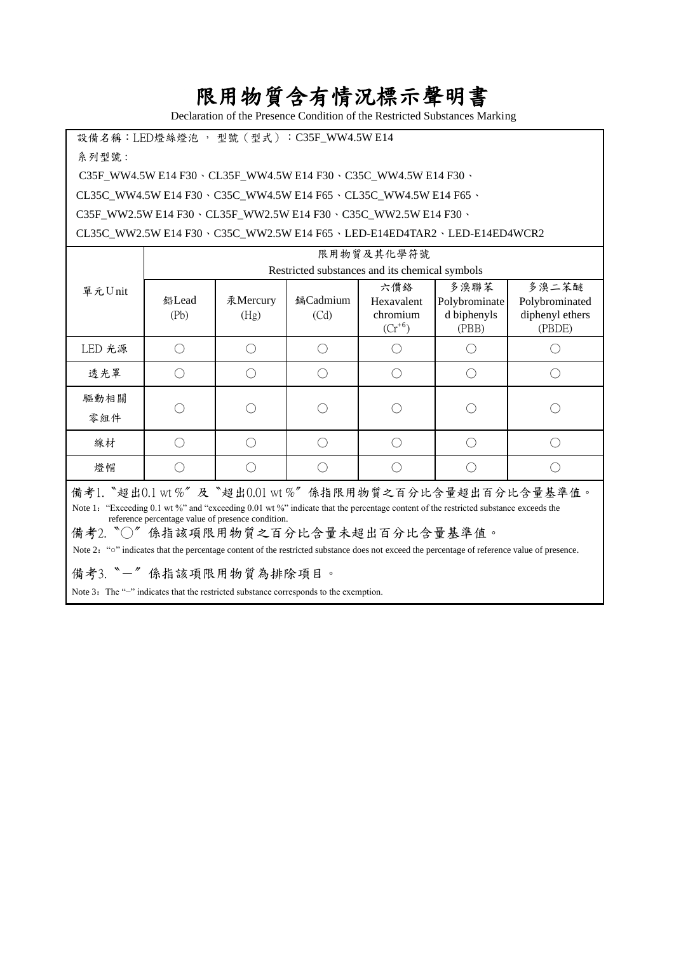## 限用物質含有情況標示聲明書

Declaration of the Presence Condition of the Restricted Substances Marking

設備名稱: LED燈絲燈泡, 型號 (型式): C35F\_WW4.5W E14 系列型號 :

C35F\_WW4.5W E14 F30、CL35F\_WW4.5W E14 F30、C35C\_WW4.5W E14 F30、

CL35C\_WW4.5W E14 F30、C35C\_WW4.5W E14 F65、CL35C\_WW4.5W E14 F65、

C35F\_WW2.5W E14 F30、CL35F\_WW2.5W E14 F30、C35C\_WW2.5W E14 F30、

CL35C\_WW2.5W E14 F30、C35C\_WW2.5W E14 F65、LED-E14ED4TAR2、LED-E14ED4WCR2

|                                                        | 限用物質及其化學符號                                     |                  |                  |                                              |                                               |                                                      |  |
|--------------------------------------------------------|------------------------------------------------|------------------|------------------|----------------------------------------------|-----------------------------------------------|------------------------------------------------------|--|
| 單元Unit                                                 | Restricted substances and its chemical symbols |                  |                  |                                              |                                               |                                                      |  |
|                                                        | 鉛Lead<br>(Pb)                                  | 汞Mercury<br>(Hg) | 鎘Cadmium<br>(Cd) | 六價絡<br>Hexavalent<br>chromium<br>$(Cr^{+6})$ | 多溴聯苯<br>Polybrominate<br>d biphenyls<br>(PBB) | 多溴二苯醚<br>Polybrominated<br>diphenyl ethers<br>(PBDE) |  |
| LED 光源                                                 |                                                |                  |                  |                                              |                                               |                                                      |  |
| 透光罩                                                    |                                                |                  |                  |                                              |                                               |                                                      |  |
| 驅動相關<br>零組件                                            |                                                |                  |                  |                                              |                                               |                                                      |  |
| 線材                                                     |                                                |                  |                  |                                              |                                               |                                                      |  |
| 燈帽                                                     |                                                |                  |                  |                                              |                                               |                                                      |  |
| 借老1 "招中01 ut %" B "招中001 ut %" 俗指限用物質ク百公止今昌招中百公止今昌其淮侑。 |                                                |                  |                  |                                              |                                               |                                                      |  |

備考1. "超出0.1 wt %"及"超出0.01 wt %"係指限用物質之百分比含量超出百分比含量基準值。 Note 1: "Exceeding 0.1 wt %" and "exceeding 0.01 wt %" indicate that the percentage content of the restricted substance exceeds the reference percentage value of presence condition.

備考2. ℃ 為指該項限用物質之百分比含量未超出百分比含量基準值。

Note 2: "o" indicates that the percentage content of the restricted substance does not exceed the percentage of reference value of presence.

備考3.〝-〞係指該項限用物質為排除項目。

Note 3: The "−" indicates that the restricted substance corresponds to the exemption.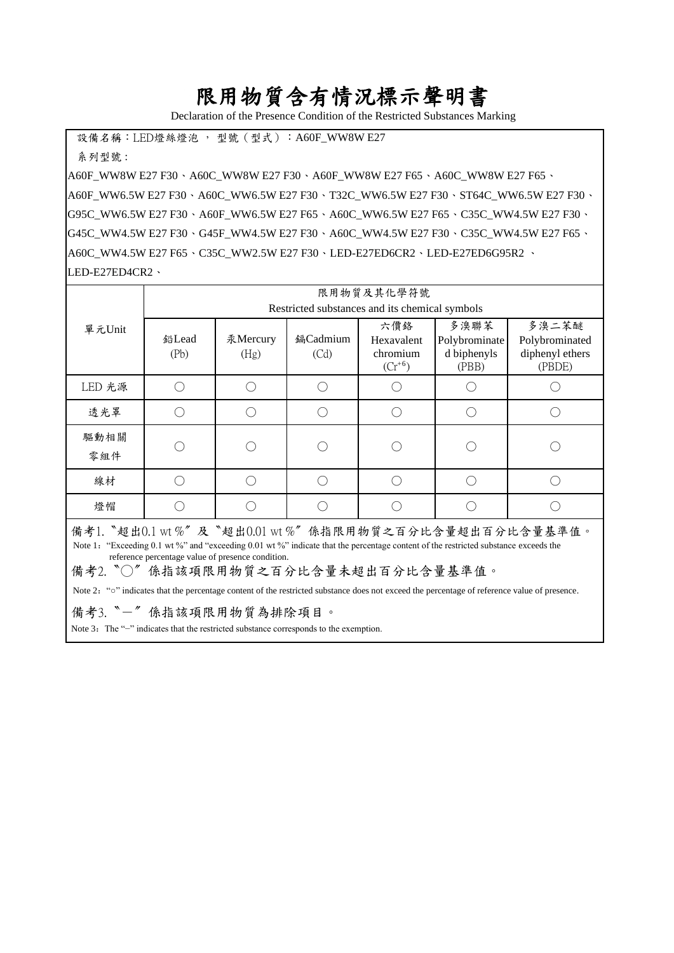## 限用物質含有情況標示聲明書

Declaration of the Presence Condition of the Restricted Substances Marking

設備名稱: LED燈絲燈泡, 型號 (型式): A60F\_WW8W E27

系列型號 :

A60F\_WW8W E27 F30、A60C\_WW8W E27 F30、A60F\_WW8W E27 F65、A60C\_WW8W E27 F65、 A60F\_WW6.5W E27 F30、A60C\_WW6.5W E27 F30、T32C\_WW6.5W E27 F30、ST64C\_WW6.5W E27 F30、 G95C\_WW6.5W E27 F30、A60F\_WW6.5W E27 F65、A60C\_WW6.5W E27 F65、C35C\_WW4.5W E27 F30、 G45C\_WW4.5W E27 F30、G45F\_WW4.5W E27 F30、A60C\_WW4.5W E27 F30、C35C\_WW4.5W E27 F65、 A60C\_WW4.5W E27 F65、C35C\_WW2.5W E27 F30、LED-E27ED6CR2、LED-E27ED6G95R2 、 LED-E27ED4CR2、

|                                                                                                                                                                                                                                                                                                                                                                                                                                           | 限用物質及其化學符號                                     |                  |                  |                                              |                                               |                                                      |  |
|-------------------------------------------------------------------------------------------------------------------------------------------------------------------------------------------------------------------------------------------------------------------------------------------------------------------------------------------------------------------------------------------------------------------------------------------|------------------------------------------------|------------------|------------------|----------------------------------------------|-----------------------------------------------|------------------------------------------------------|--|
| 單元Unit                                                                                                                                                                                                                                                                                                                                                                                                                                    | Restricted substances and its chemical symbols |                  |                  |                                              |                                               |                                                      |  |
|                                                                                                                                                                                                                                                                                                                                                                                                                                           | 鉛Lead<br>(Pb)                                  | 汞Mercury<br>(Hg) | 鎘Cadmium<br>(Cd) | 六價絡<br>Hexavalent<br>chromium<br>$(Cr^{+6})$ | 多溴聯苯<br>Polybrominate<br>d biphenyls<br>(PBB) | 多溴二苯醚<br>Polybrominated<br>diphenyl ethers<br>(PBDE) |  |
| LED 光源                                                                                                                                                                                                                                                                                                                                                                                                                                    | $( \ )$                                        |                  |                  | ◯                                            |                                               |                                                      |  |
| 透光罩                                                                                                                                                                                                                                                                                                                                                                                                                                       |                                                |                  |                  | n                                            |                                               |                                                      |  |
| 驅動相關<br>零組件                                                                                                                                                                                                                                                                                                                                                                                                                               |                                                |                  |                  |                                              |                                               |                                                      |  |
| 線材                                                                                                                                                                                                                                                                                                                                                                                                                                        | ( )                                            |                  |                  | ∩                                            |                                               |                                                      |  |
| 燈帽                                                                                                                                                                                                                                                                                                                                                                                                                                        |                                                |                  |                  |                                              |                                               |                                                      |  |
| 備考1. "超出0.1 wt %"及 "超出0.01 wt %" 係指限用物質之百分比含量超出百分比含量基準值。<br>Note 1: "Exceeding 0.1 wt %" and "exceeding 0.01 wt %" indicate that the percentage content of the restricted substance exceeds the<br>reference percentage value of presence condition.<br>備考2. ○ 伤指該項限用物質之百分比含量未超出百分比含量基準值。<br>Note 2: "o" indicates that the percentage content of the restricted substance does not exceed the percentage of reference value of presence. |                                                |                  |                  |                                              |                                               |                                                      |  |
| 備考3. "一"係指該項限用物質為排除項目。                                                                                                                                                                                                                                                                                                                                                                                                                    |                                                |                  |                  |                                              |                                               |                                                      |  |
| Note 3: The "-" indicates that the restricted substance corresponds to the exemption.                                                                                                                                                                                                                                                                                                                                                     |                                                |                  |                  |                                              |                                               |                                                      |  |